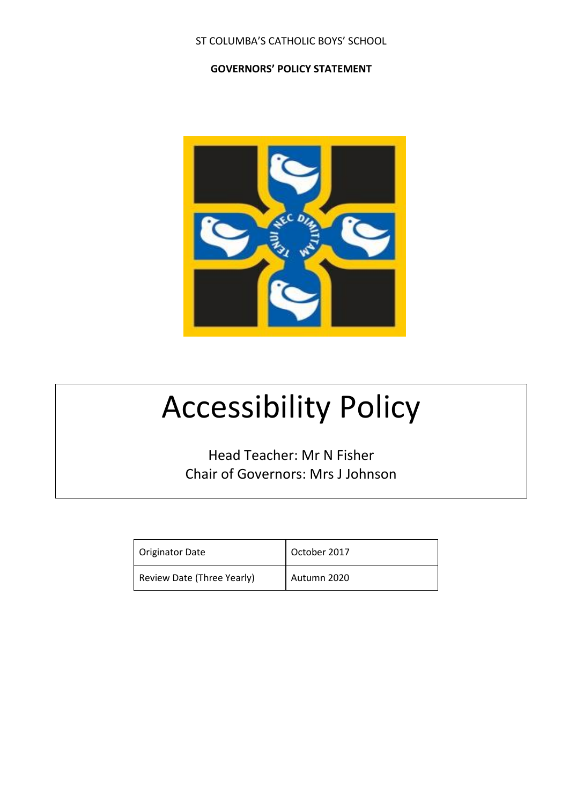ST COLUMBA'S CATHOLIC BOYS' SCHOOL

**GOVERNORS' POLICY STATEMENT**



# Accessibility Policy

Head Teacher: Mr N Fisher Chair of Governors: Mrs J Johnson

| <b>Originator Date</b>     | October 2017 |
|----------------------------|--------------|
| Review Date (Three Yearly) | Autumn 2020  |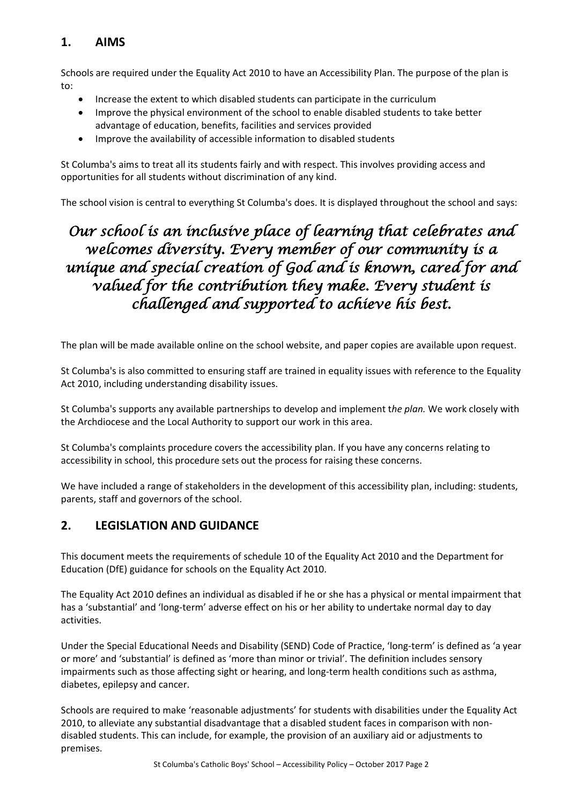# **1. AIMS**

Schools are required under the Equality Act 2010 to have an Accessibility Plan. The purpose of the plan is to:

- Increase the extent to which disabled students can participate in the curriculum
- Improve the physical environment of the school to enable disabled students to take better advantage of education, benefits, facilities and services provided
- Improve the availability of accessible information to disabled students

St Columba's aims to treat all its students fairly and with respect. This involves providing access and opportunities for all students without discrimination of any kind.

The school vision is central to everything St Columba's does. It is displayed throughout the school and says:

# *Our school is an inclusive place of learning that celebrates and welcomes diversity. Every member of our community is a unique and special creation of God and is known, cared for and valued for the contribution they make. Every student is challenged and supported to achieve his best.*

The plan will be made available online on the school website, and paper copies are available upon request.

St Columba's is also committed to ensuring staff are trained in equality issues with reference to the Equality Act 2010, including understanding disability issues.

St Columba's supports any available partnerships to develop and implement t*he plan.* We work closely with the Archdiocese and the Local Authority to support our work in this area.

St Columba's complaints procedure covers the accessibility plan. If you have any concerns relating to accessibility in school, this procedure sets out the process for raising these concerns.

We have included a range of stakeholders in the development of this accessibility plan, including: students, parents, staff and governors of the school.

# **2. LEGISLATION AND GUIDANCE**

This document meets the requirements of schedule 10 of the Equality Act 2010 and the Department for Education (DfE) guidance for schools on the Equality Act 2010.

The Equality Act 2010 defines an individual as disabled if he or she has a physical or mental impairment that has a 'substantial' and 'long-term' adverse effect on his or her ability to undertake normal day to day activities.

Under the Special Educational Needs and Disability (SEND) Code of Practice, 'long-term' is defined as 'a year or more' and 'substantial' is defined as 'more than minor or trivial'. The definition includes sensory impairments such as those affecting sight or hearing, and long-term health conditions such as asthma, diabetes, epilepsy and cancer.

Schools are required to make 'reasonable adjustments' for students with disabilities under the Equality Act 2010, to alleviate any substantial disadvantage that a disabled student faces in comparison with nondisabled students. This can include, for example, the provision of an auxiliary aid or adjustments to premises.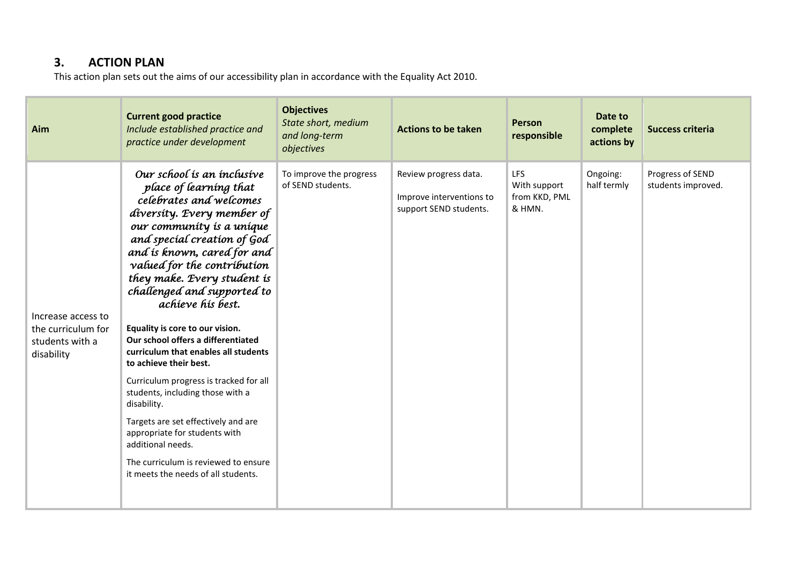# **3. ACTION PLAN**

This action plan sets out the aims of our accessibility plan in accordance with the Equality Act 2010.

| Aim                                                                       | <b>Current good practice</b><br>Include established practice and<br>practice under development                                                                                                                                                                                                                                                                                                                                                                                                                                                                                                                                                                                                                                                 | <b>Objectives</b><br>State short, medium<br>and long-term<br>objectives | <b>Actions to be taken</b>                                                  | Person<br>responsible                          | Date to<br>complete<br>actions by | <b>Success criteria</b>                |
|---------------------------------------------------------------------------|------------------------------------------------------------------------------------------------------------------------------------------------------------------------------------------------------------------------------------------------------------------------------------------------------------------------------------------------------------------------------------------------------------------------------------------------------------------------------------------------------------------------------------------------------------------------------------------------------------------------------------------------------------------------------------------------------------------------------------------------|-------------------------------------------------------------------------|-----------------------------------------------------------------------------|------------------------------------------------|-----------------------------------|----------------------------------------|
| Increase access to<br>the curriculum for<br>students with a<br>disability | Our school is an inclusive<br>place of learning that<br>celebrates and welcomes<br>diversity. Every member of<br>our community is a unique<br>and special creation of God<br>and is known, cared for and<br>valued for the contribution<br>they make. Every student is<br>challenged and supported to<br>achieve his best.<br>Equality is core to our vision.<br>Our school offers a differentiated<br>curriculum that enables all students<br>to achieve their best.<br>Curriculum progress is tracked for all<br>students, including those with a<br>disability.<br>Targets are set effectively and are<br>appropriate for students with<br>additional needs.<br>The curriculum is reviewed to ensure<br>it meets the needs of all students. | To improve the progress<br>of SEND students.                            | Review progress data.<br>Improve interventions to<br>support SEND students. | LFS<br>With support<br>from KKD, PML<br>& HMN. | Ongoing:<br>half termly           | Progress of SEND<br>students improved. |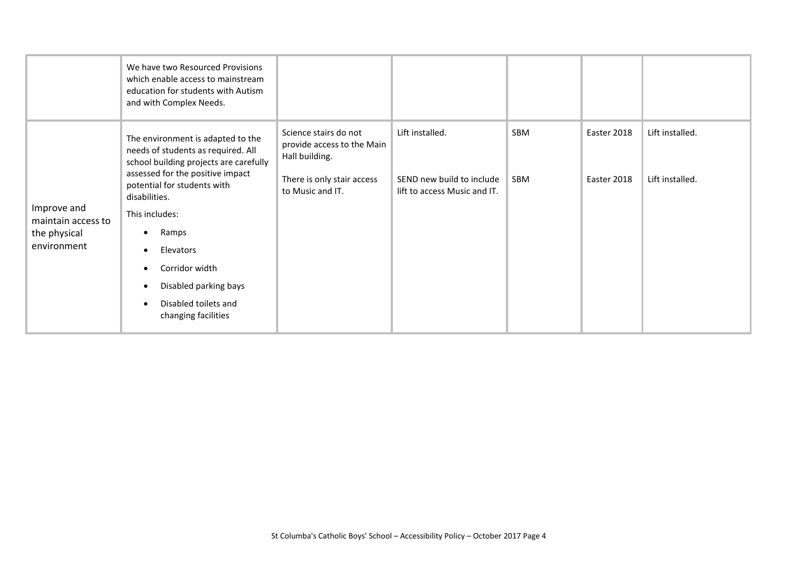|                                                                  | We have two Resourced Provisions<br>which enable access to mainstream<br>education for students with Autism<br>and with Complex Needs.                                                                                                                                                                                                                                         |                                                                                                                         |                                                                              |                          |                            |                                    |
|------------------------------------------------------------------|--------------------------------------------------------------------------------------------------------------------------------------------------------------------------------------------------------------------------------------------------------------------------------------------------------------------------------------------------------------------------------|-------------------------------------------------------------------------------------------------------------------------|------------------------------------------------------------------------------|--------------------------|----------------------------|------------------------------------|
| Improve and<br>maintain access to<br>the physical<br>environment | The environment is adapted to the<br>needs of students as required. All<br>school building projects are carefully<br>assessed for the positive impact<br>potential for students with<br>disabilities.<br>This includes:<br>Ramps<br>Elevators<br>$\bullet$<br>Corridor width<br>$\bullet$<br>Disabled parking bays<br>Disabled toilets and<br>$\bullet$<br>changing facilities | Science stairs do not<br>provide access to the Main<br>Hall building.<br>There is only stair access<br>to Music and IT. | Lift installed.<br>SEND new build to include<br>lift to access Music and IT. | <b>SBM</b><br><b>SBM</b> | Easter 2018<br>Easter 2018 | Lift installed.<br>Lift installed. |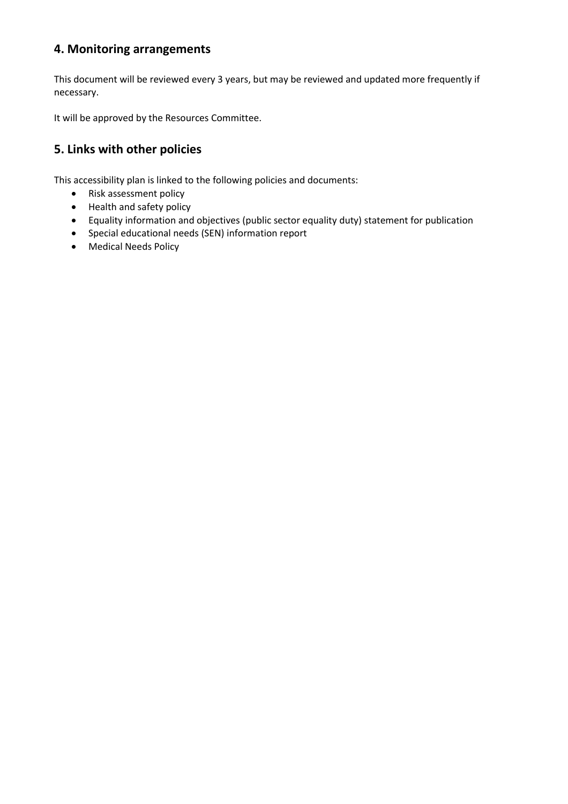# **4. Monitoring arrangements**

This document will be reviewed every 3 years, but may be reviewed and updated more frequently if necessary.

It will be approved by the Resources Committee.

### **5. Links with other policies**

This accessibility plan is linked to the following policies and documents:

- Risk assessment policy
- Health and safety policy
- Equality information and objectives (public sector equality duty) statement for publication
- Special educational needs (SEN) information report
- Medical Needs Policy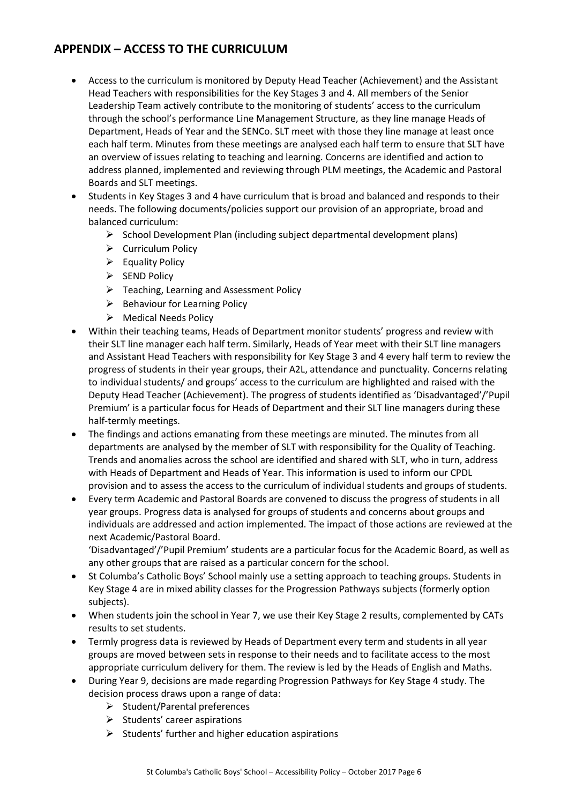### **APPENDIX – ACCESS TO THE CURRICULUM**

- Access to the curriculum is monitored by Deputy Head Teacher (Achievement) and the Assistant Head Teachers with responsibilities for the Key Stages 3 and 4. All members of the Senior Leadership Team actively contribute to the monitoring of students' access to the curriculum through the school's performance Line Management Structure, as they line manage Heads of Department, Heads of Year and the SENCo. SLT meet with those they line manage at least once each half term. Minutes from these meetings are analysed each half term to ensure that SLT have an overview of issues relating to teaching and learning. Concerns are identified and action to address planned, implemented and reviewing through PLM meetings, the Academic and Pastoral Boards and SLT meetings.
- Students in Key Stages 3 and 4 have curriculum that is broad and balanced and responds to their needs. The following documents/policies support our provision of an appropriate, broad and balanced curriculum:
	- $\triangleright$  School Development Plan (including subject departmental development plans)
	- $\triangleright$  Curriculum Policy
	- $\triangleright$  Equality Policy
	- $\triangleright$  SEND Policy
	- $\triangleright$  Teaching, Learning and Assessment Policy
	- $\triangleright$  Behaviour for Learning Policy
	- Medical Needs Policy
- Within their teaching teams, Heads of Department monitor students' progress and review with their SLT line manager each half term. Similarly, Heads of Year meet with their SLT line managers and Assistant Head Teachers with responsibility for Key Stage 3 and 4 every half term to review the progress of students in their year groups, their A2L, attendance and punctuality. Concerns relating to individual students/ and groups' access to the curriculum are highlighted and raised with the Deputy Head Teacher (Achievement). The progress of students identified as 'Disadvantaged'/'Pupil Premium' is a particular focus for Heads of Department and their SLT line managers during these half-termly meetings.
- The findings and actions emanating from these meetings are minuted. The minutes from all departments are analysed by the member of SLT with responsibility for the Quality of Teaching. Trends and anomalies across the school are identified and shared with SLT, who in turn, address with Heads of Department and Heads of Year. This information is used to inform our CPDL provision and to assess the access to the curriculum of individual students and groups of students.
- Every term Academic and Pastoral Boards are convened to discuss the progress of students in all year groups. Progress data is analysed for groups of students and concerns about groups and individuals are addressed and action implemented. The impact of those actions are reviewed at the next Academic/Pastoral Board.

'Disadvantaged'/'Pupil Premium' students are a particular focus for the Academic Board, as well as any other groups that are raised as a particular concern for the school.

- St Columba's Catholic Boys' School mainly use a setting approach to teaching groups. Students in Key Stage 4 are in mixed ability classes for the Progression Pathways subjects (formerly option subjects).
- When students join the school in Year 7, we use their Key Stage 2 results, complemented by CATs results to set students.
- Termly progress data is reviewed by Heads of Department every term and students in all year groups are moved between sets in response to their needs and to facilitate access to the most appropriate curriculum delivery for them. The review is led by the Heads of English and Maths.
- During Year 9, decisions are made regarding Progression Pathways for Key Stage 4 study. The decision process draws upon a range of data:
	- $\triangleright$  Student/Parental preferences
	- $\triangleright$  Students' career aspirations
	- $\triangleright$  Students' further and higher education aspirations